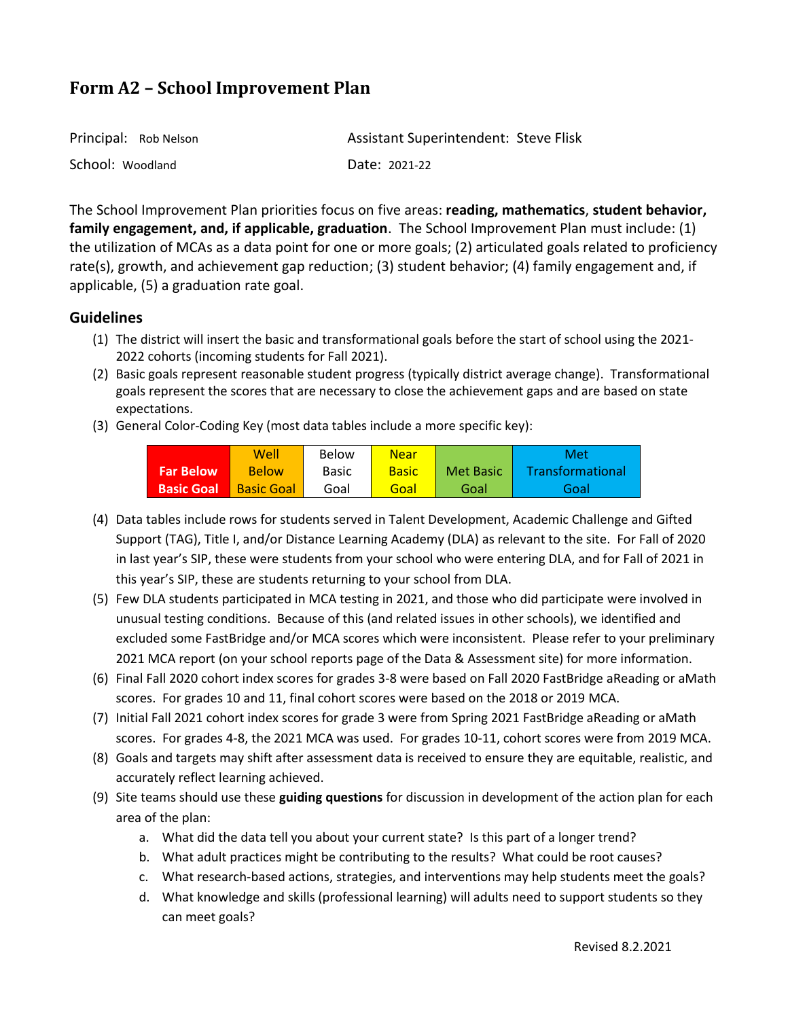| Principal: Rob Nelson | <b>Assistant Superintendent: Steve Flisk</b> |
|-----------------------|----------------------------------------------|
| School: Woodland      | Date: 2021-22                                |

The School Improvement Plan priorities focus on five areas: **reading, mathematics**, **student behavior, family engagement, and, if applicable, graduation**. The School Improvement Plan must include: (1) the utilization of MCAs as a data point for one or more goals; (2) articulated goals related to proficiency rate(s), growth, and achievement gap reduction; (3) student behavior; (4) family engagement and, if applicable, (5) a graduation rate goal.

### **Guidelines**

- (1) The district will insert the basic and transformational goals before the start of school using the 2021- 2022 cohorts (incoming students for Fall 2021).
- (2) Basic goals represent reasonable student progress (typically district average change). Transformational goals represent the scores that are necessary to close the achievement gaps and are based on state expectations.
- (3) General Color-Coding Key (most data tables include a more specific key):

|                   | Well              | Below        | <b>Near</b>  |           | Met              |
|-------------------|-------------------|--------------|--------------|-----------|------------------|
| <b>Far Below</b>  | <b>Below</b>      | <b>Basic</b> | <b>Basic</b> | Met Basic | Transformational |
| <b>Basic Goal</b> | <b>Basic Goal</b> | Goal         | Goal         | Goal      | Goal             |

- (4) Data tables include rows for students served in Talent Development, Academic Challenge and Gifted Support (TAG), Title I, and/or Distance Learning Academy (DLA) as relevant to the site. For Fall of 2020 in last year's SIP, these were students from your school who were entering DLA, and for Fall of 2021 in this year's SIP, these are students returning to your school from DLA.
- (5) Few DLA students participated in MCA testing in 2021, and those who did participate were involved in unusual testing conditions. Because of this (and related issues in other schools), we identified and excluded some FastBridge and/or MCA scores which were inconsistent. Please refer to your preliminary 2021 MCA report (on your school reports page of the Data & Assessment site) for more information.
- (6) Final Fall 2020 cohort index scores for grades 3-8 were based on Fall 2020 FastBridge aReading or aMath scores. For grades 10 and 11, final cohort scores were based on the 2018 or 2019 MCA.
- (7) Initial Fall 2021 cohort index scores for grade 3 were from Spring 2021 FastBridge aReading or aMath scores. For grades 4-8, the 2021 MCA was used. For grades 10-11, cohort scores were from 2019 MCA.
- (8) Goals and targets may shift after assessment data is received to ensure they are equitable, realistic, and accurately reflect learning achieved.
- (9) Site teams should use these **guiding questions** for discussion in development of the action plan for each area of the plan:
	- a. What did the data tell you about your current state? Is this part of a longer trend?
	- b. What adult practices might be contributing to the results? What could be root causes?
	- c. What research-based actions, strategies, and interventions may help students meet the goals?
	- d. What knowledge and skills (professional learning) will adults need to support students so they can meet goals?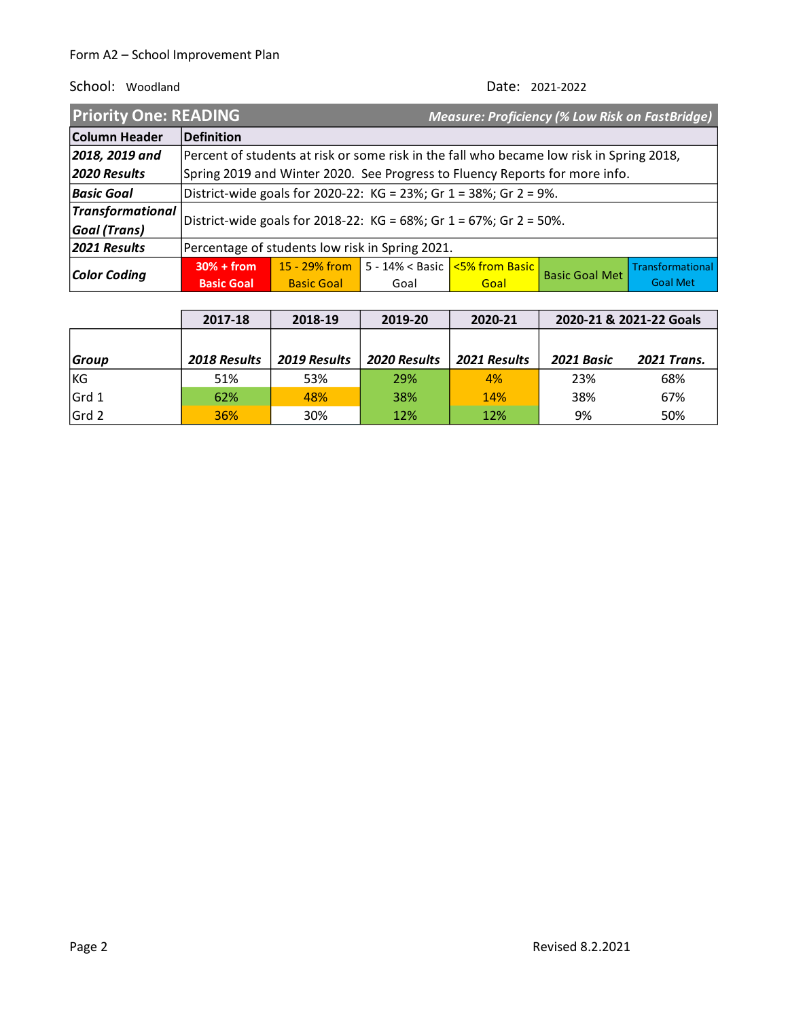| <b>Priority One: READING</b> |                                                                    |                                                                                          |      | <b>Measure: Proficiency (% Low Risk on FastBridge)</b> |                       |                  |
|------------------------------|--------------------------------------------------------------------|------------------------------------------------------------------------------------------|------|--------------------------------------------------------|-----------------------|------------------|
| <b>Column Header</b>         | Definition                                                         |                                                                                          |      |                                                        |                       |                  |
| 2018, 2019 and               |                                                                    | Percent of students at risk or some risk in the fall who became low risk in Spring 2018, |      |                                                        |                       |                  |
| 2020 Results                 |                                                                    | Spring 2019 and Winter 2020. See Progress to Fluency Reports for more info.              |      |                                                        |                       |                  |
| <b>Basic Goal</b>            | District-wide goals for 2020-22: KG = 23%; Gr 1 = 38%; Gr 2 = 9%.  |                                                                                          |      |                                                        |                       |                  |
| Transformational             | District-wide goals for 2018-22: KG = 68%; Gr 1 = 67%; Gr 2 = 50%. |                                                                                          |      |                                                        |                       |                  |
| <b>Goal (Trans)</b>          |                                                                    |                                                                                          |      |                                                        |                       |                  |
| 2021 Results                 | Percentage of students low risk in Spring 2021.                    |                                                                                          |      |                                                        |                       |                  |
| Color Coding                 | $30% + from$                                                       | 15 - 29% from                                                                            |      | 5 - 14% < Basic   <mark>&lt;5% from Basic  </mark>     | <b>Basic Goal Met</b> | Transformational |
|                              | <b>Basic Goal</b>                                                  | <b>Basic Goal</b>                                                                        | Goal | Goal                                                   |                       | <b>Goal Met</b>  |

|              | 2017-18      | 2018-19      | 2019-20      | 2020-21      |            | 2020-21 & 2021-22 Goals |
|--------------|--------------|--------------|--------------|--------------|------------|-------------------------|
|              |              |              |              |              |            |                         |
| <b>Group</b> | 2018 Results | 2019 Results | 2020 Results | 2021 Results | 2021 Basic | <b>2021 Trans.</b>      |
| <b>KG</b>    | 51%          | 53%          | 29%          | 4%           | 23%        | 68%                     |
| Grd 1        | 62%          | 48%          | 38%          | 14%          | 38%        | 67%                     |
| Grd 2        | 36%          | 30%          | 12%          | 12%          | 9%         | 50%                     |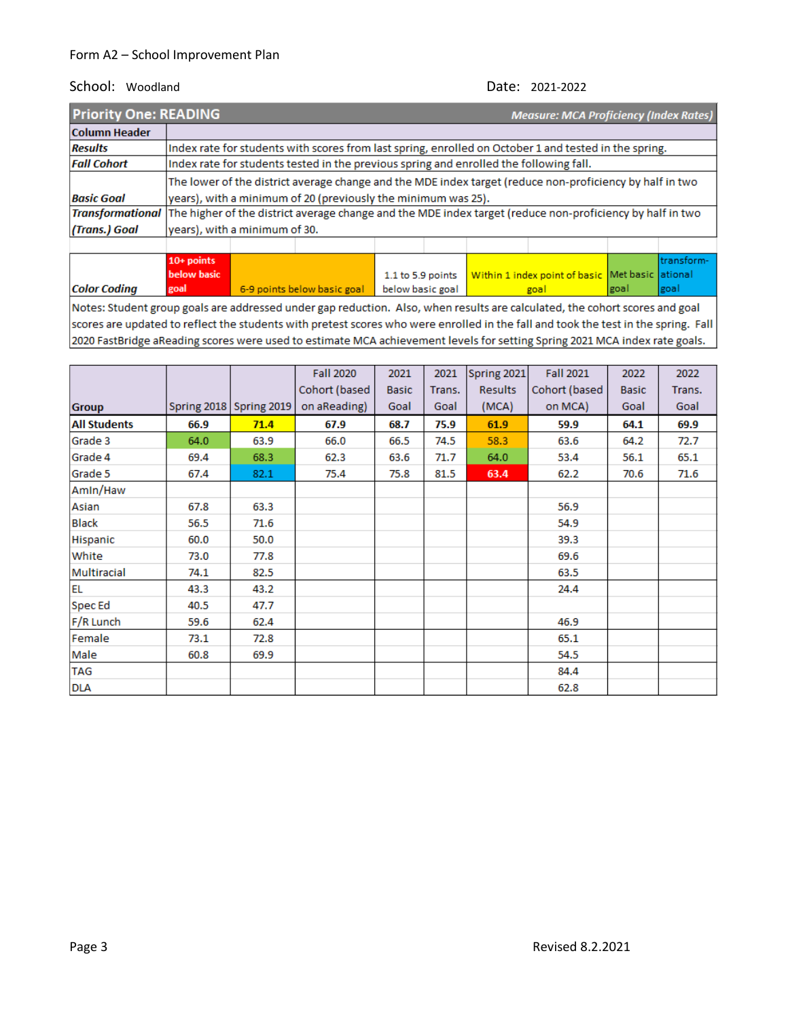**below basic** 

#### School: Woodland Date: 2021-2022

Within 1 index point of basic Met basic ational

| <b>Priority One: READING</b> | <b>Measure: MCA Proficiency (Index Rates)</b>                                                                              |                                                                                                       |  |  |  |  |  |  |                     |
|------------------------------|----------------------------------------------------------------------------------------------------------------------------|-------------------------------------------------------------------------------------------------------|--|--|--|--|--|--|---------------------|
| <b>Column Header</b>         |                                                                                                                            |                                                                                                       |  |  |  |  |  |  |                     |
| <b>Results</b>               |                                                                                                                            | Index rate for students with scores from last spring, enrolled on October 1 and tested in the spring. |  |  |  |  |  |  |                     |
| <b>Fall Cohort</b>           |                                                                                                                            | Index rate for students tested in the previous spring and enrolled the following fall.                |  |  |  |  |  |  |                     |
|                              | The lower of the district average change and the MDE index target (reduce non-proficiency by half in two                   |                                                                                                       |  |  |  |  |  |  |                     |
| <b>Basic Goal</b>            | years), with a minimum of 20 (previously the minimum was 25).                                                              |                                                                                                       |  |  |  |  |  |  |                     |
|                              | Transformational The higher of the district average change and the MDE index target (reduce non-proficiency by half in two |                                                                                                       |  |  |  |  |  |  |                     |
| (Trans.) Goal                |                                                                                                                            | years), with a minimum of 30.                                                                         |  |  |  |  |  |  |                     |
|                              |                                                                                                                            |                                                                                                       |  |  |  |  |  |  |                     |
|                              | <b>ARCHITECT</b>                                                                                                           |                                                                                                       |  |  |  |  |  |  | المستحقق والمستحققة |

**Color Coding** goal 6-9 points below basic goal below basic goal goal goal goal Notes: Student group goals are addressed under gap reduction. Also, when results are calculated, the cohort scores and goal scores are updated to reflect the students with pretest scores who were enrolled in the fall and took the test in the spring. Fall 2020 FastBridge aReading scores were used to estimate MCA achievement levels for setting Spring 2021 MCA index rate goals.

1.1 to 5.9 points

|                     |      |                         | <b>Fall 2020</b> | 2021         | 2021   | Spring 2021    | <b>Fall 2021</b> | 2022         | 2022   |
|---------------------|------|-------------------------|------------------|--------------|--------|----------------|------------------|--------------|--------|
|                     |      |                         | Cohort (based    | <b>Basic</b> | Trans. | <b>Results</b> | Cohort (based    | <b>Basic</b> | Trans. |
| <b>Group</b>        |      | Spring 2018 Spring 2019 | on aReading)     | Goal         | Goal   | (MCA)          | on MCA)          | Goal         | Goal   |
| <b>All Students</b> | 66.9 | 71.4                    | 67.9             | 68.7         | 75.9   | 61.9           | 59.9             | 64.1         | 69.9   |
| Grade 3             | 64.0 | 63.9                    | 66.0             | 66.5         | 74.5   | 58.3           | 63.6             | 64.2         | 72.7   |
| Grade 4             | 69.4 | 68.3                    | 62.3             | 63.6         | 71.7   | 64.0           | 53.4             | 56.1         | 65.1   |
| Grade 5             | 67.4 | 82.1                    | 75.4             | 75.8         | 81.5   | 63.4           | 62.2             | 70.6         | 71.6   |
| Amin/Haw            |      |                         |                  |              |        |                |                  |              |        |
| Asian               | 67.8 | 63.3                    |                  |              |        |                | 56.9             |              |        |
| <b>Black</b>        | 56.5 | 71.6                    |                  |              |        |                | 54.9             |              |        |
| Hispanic            | 60.0 | 50.0                    |                  |              |        |                | 39.3             |              |        |
| White               | 73.0 | 77.8                    |                  |              |        |                | 69.6             |              |        |
| Multiracial         | 74.1 | 82.5                    |                  |              |        |                | 63.5             |              |        |
| <b>EL</b>           | 43.3 | 43.2                    |                  |              |        |                | 24.4             |              |        |
| Spec Ed             | 40.5 | 47.7                    |                  |              |        |                |                  |              |        |
| F/R Lunch           | 59.6 | 62.4                    |                  |              |        |                | 46.9             |              |        |
| Female              | 73.1 | 72.8                    |                  |              |        |                | 65.1             |              |        |
| Male                | 60.8 | 69.9                    |                  |              |        |                | 54.5             |              |        |
| <b>TAG</b>          |      |                         |                  |              |        |                | 84.4             |              |        |
| <b>DLA</b>          |      |                         |                  |              |        |                | 62.8             |              |        |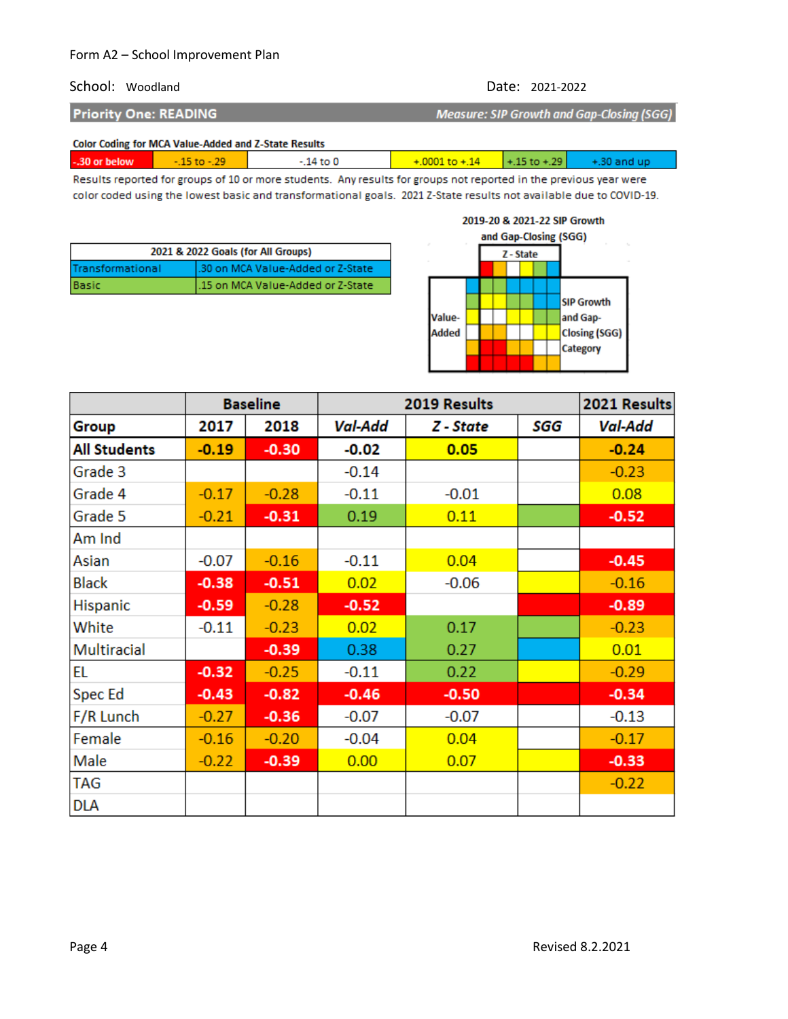#### School: Woodland Date: 2021-2022

**Priority One: READING** 

Measure: SIP Growth and Gap-Closing (SGG)

#### Color Coding for MCA Value-Added and Z-State Results

| $+0001 \text{ to } 14$ $+15 \text{ to } 129$ $+30 \text{ and up}$ |  | -.30 or below | - כני - סז כני | .14 to C |  |  |  |
|-------------------------------------------------------------------|--|---------------|----------------|----------|--|--|--|
|-------------------------------------------------------------------|--|---------------|----------------|----------|--|--|--|

Results reported for groups of 10 or more students. Any results for groups not reported in the previous year were color coded using the lowest basic and transformational goals. 2021 Z-State results not available due to COVID-19.

| 2021 & 2022 Goals (for All Groups) |                                    |  |  |  |
|------------------------------------|------------------------------------|--|--|--|
| Transformational                   | l.30 on MCA Value-Added or Z-State |  |  |  |
| Basic                              | .15 on MCA Value-Added or Z-State  |  |  |  |



|                     |         | <b>Baseline</b> |                | 2019 Results | 2021 Results |         |
|---------------------|---------|-----------------|----------------|--------------|--------------|---------|
| Group               | 2017    | 2018            | <b>Val-Add</b> | Z - State    | SGG          | Val-Add |
| <b>All Students</b> | $-0.19$ | $-0.30$         | $-0.02$        | 0.05         |              | $-0.24$ |
| Grade 3             |         |                 | $-0.14$        |              |              | $-0.23$ |
| Grade 4             | $-0.17$ | $-0.28$         | $-0.11$        | $-0.01$      |              | 0.08    |
| Grade 5             | $-0.21$ | $-0.31$         | 0.19           | 0.11         |              | $-0.52$ |
| Am Ind              |         |                 |                |              |              |         |
| Asian               | $-0.07$ | $-0.16$         | $-0.11$        | 0.04         |              | $-0.45$ |
| <b>Black</b>        | $-0.38$ | $-0.51$         | 0.02           | $-0.06$      |              | $-0.16$ |
| <b>Hispanic</b>     | $-0.59$ | $-0.28$         | $-0.52$        |              |              | $-0.89$ |
| White               | $-0.11$ | $-0.23$         | 0.02           | 0.17         |              | $-0.23$ |
| Multiracial         |         | $-0.39$         | 0.38           | 0.27         |              | 0.01    |
| <b>EL</b>           | $-0.32$ | $-0.25$         | $-0.11$        | 0.22         |              | $-0.29$ |
| <b>Spec Ed</b>      | $-0.43$ | $-0.82$         | $-0.46$        | $-0.50$      |              | $-0.34$ |
| F/R Lunch           | $-0.27$ | $-0.36$         | $-0.07$        | $-0.07$      |              | $-0.13$ |
| Female              | $-0.16$ | $-0.20$         | $-0.04$        | 0.04         |              | $-0.17$ |
| Male                | $-0.22$ | $-0.39$         | 0.00           | 0.07         |              | $-0.33$ |
| <b>TAG</b>          |         |                 |                |              |              | $-0.22$ |
| <b>DLA</b>          |         |                 |                |              |              |         |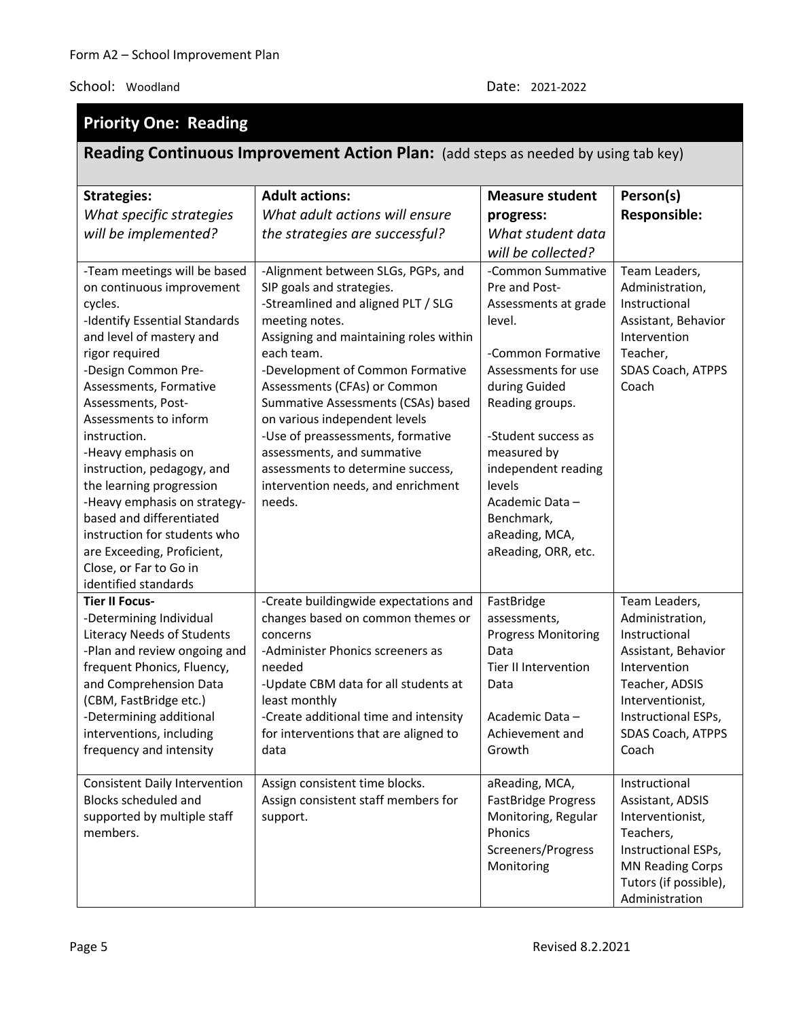#### **Priority One: Reading Reading Continuous Improvement Action Plan:** (add steps as needed by using tab key) **Strategies:** *What specific strategies will be implemented?* **Adult actions:** *What adult actions will ensure the strategies are successful?* **Measure student progress:** *What student data will be collected?*  **Person(s) Responsible:** -Team meetings will be based on continuous improvement cycles. -Identify Essential Standards and level of mastery and rigor required -Design Common Pre-Assessments, Formative Assessments, Post-Assessments to inform instruction. -Heavy emphasis on instruction, pedagogy, and the learning progression -Heavy emphasis on strategybased and differentiated instruction for students who are Exceeding, Proficient, Close, or Far to Go in identified standards -Alignment between SLGs, PGPs, and SIP goals and strategies. -Streamlined and aligned PLT / SLG meeting notes. Assigning and maintaining roles within each team. -Development of Common Formative Assessments (CFAs) or Common Summative Assessments (CSAs) based on various independent levels -Use of preassessments, formative assessments, and summative assessments to determine success, intervention needs, and enrichment needs. -Common Summative Pre and Post-Assessments at grade level. -Common Formative Assessments for use during Guided Reading groups. -Student success as measured by independent reading levels Academic Data – Benchmark, aReading, MCA, aReading, ORR, etc. Team Leaders, Administration, Instructional Assistant, Behavior Intervention Teacher, SDAS Coach, ATPPS Coach **Tier II Focus-** -Determining Individual Literacy Needs of Students -Plan and review ongoing and frequent Phonics, Fluency, and Comprehension Data (CBM, FastBridge etc.) -Determining additional interventions, including frequency and intensity -Create buildingwide expectations and changes based on common themes or concerns -Administer Phonics screeners as needed -Update CBM data for all students at least monthly -Create additional time and intensity for interventions that are aligned to data FastBridge assessments, Progress Monitoring Data Tier II Intervention Data Academic Data – Achievement and Growth Team Leaders, Administration, Instructional Assistant, Behavior Intervention Teacher, ADSIS Interventionist, Instructional ESPs, SDAS Coach, ATPPS Coach Consistent Daily Intervention Blocks scheduled and supported by multiple staff members. Assign consistent time blocks. Assign consistent staff members for support. aReading, MCA, FastBridge Progress Monitoring, Regular Phonics Screeners/Progress Monitoring Instructional Assistant, ADSIS Interventionist, Teachers, Instructional ESPs, MN Reading Corps Tutors (if possible),

Administration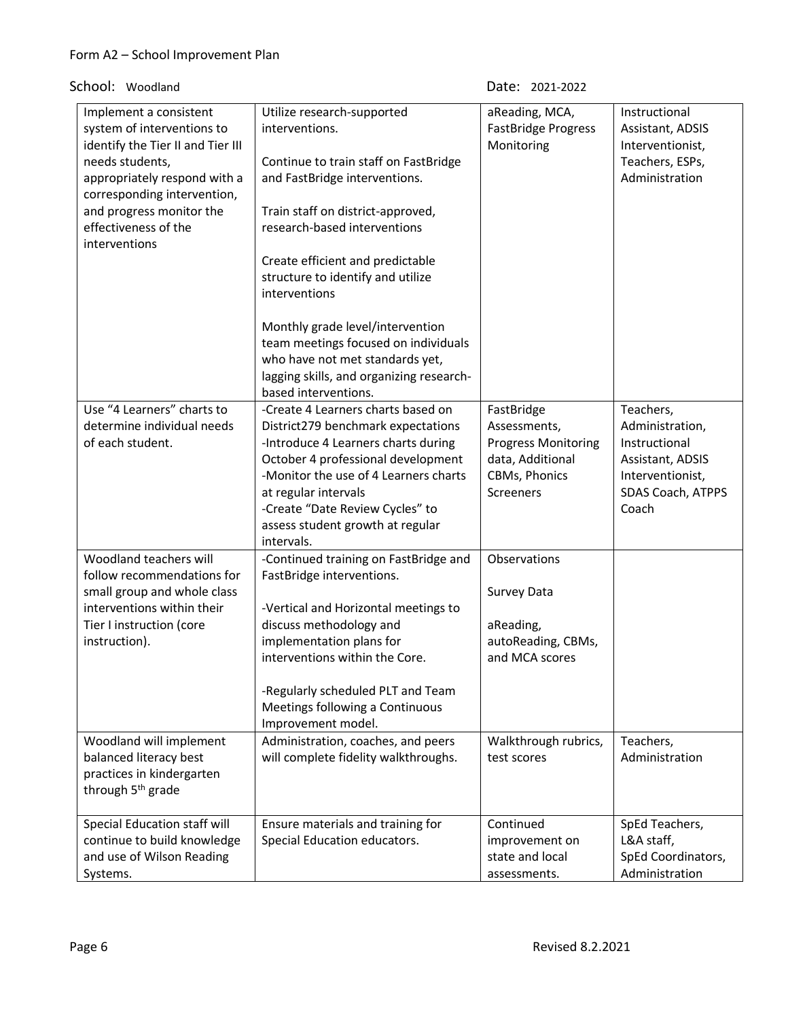School: Woodland

| Date: | 2021-2022 |
|-------|-----------|
|       |           |

| Implement a consistent<br>system of interventions to<br>identify the Tier II and Tier III<br>needs students,<br>appropriately respond with a<br>corresponding intervention,<br>and progress monitor the<br>effectiveness of the<br>interventions | Utilize research-supported<br>interventions.<br>Continue to train staff on FastBridge<br>and FastBridge interventions.<br>Train staff on district-approved,<br>research-based interventions<br>Create efficient and predictable                                                                             | aReading, MCA,<br><b>FastBridge Progress</b><br>Monitoring                                                        | Instructional<br>Assistant, ADSIS<br>Interventionist,<br>Teachers, ESPs,<br>Administration                          |
|--------------------------------------------------------------------------------------------------------------------------------------------------------------------------------------------------------------------------------------------------|-------------------------------------------------------------------------------------------------------------------------------------------------------------------------------------------------------------------------------------------------------------------------------------------------------------|-------------------------------------------------------------------------------------------------------------------|---------------------------------------------------------------------------------------------------------------------|
|                                                                                                                                                                                                                                                  | structure to identify and utilize<br>interventions<br>Monthly grade level/intervention<br>team meetings focused on individuals<br>who have not met standards yet,<br>lagging skills, and organizing research-<br>based interventions.                                                                       |                                                                                                                   |                                                                                                                     |
| Use "4 Learners" charts to<br>determine individual needs<br>of each student.                                                                                                                                                                     | -Create 4 Learners charts based on<br>District279 benchmark expectations<br>-Introduce 4 Learners charts during<br>October 4 professional development<br>-Monitor the use of 4 Learners charts<br>at regular intervals<br>-Create "Date Review Cycles" to<br>assess student growth at regular<br>intervals. | FastBridge<br>Assessments,<br><b>Progress Monitoring</b><br>data, Additional<br>CBMs, Phonics<br><b>Screeners</b> | Teachers,<br>Administration,<br>Instructional<br>Assistant, ADSIS<br>Interventionist,<br>SDAS Coach, ATPPS<br>Coach |
| Woodland teachers will<br>follow recommendations for<br>small group and whole class<br>interventions within their<br>Tier I instruction (core<br>instruction).                                                                                   | -Continued training on FastBridge and<br>FastBridge interventions.<br>-Vertical and Horizontal meetings to<br>discuss methodology and<br>implementation plans for<br>interventions within the Core.<br>-Regularly scheduled PLT and Team<br>Meetings following a Continuous<br>Improvement model.           | Observations<br>Survey Data<br>aReading,<br>autoReading, CBMs,<br>and MCA scores                                  |                                                                                                                     |
| Woodland will implement<br>balanced literacy best<br>practices in kindergarten<br>through 5 <sup>th</sup> grade                                                                                                                                  | Administration, coaches, and peers<br>will complete fidelity walkthroughs.                                                                                                                                                                                                                                  | Walkthrough rubrics,<br>test scores                                                                               | Teachers,<br>Administration                                                                                         |
| Special Education staff will<br>continue to build knowledge<br>and use of Wilson Reading<br>Systems.                                                                                                                                             | Ensure materials and training for<br>Special Education educators.                                                                                                                                                                                                                                           | Continued<br>improvement on<br>state and local<br>assessments.                                                    | SpEd Teachers,<br>L&A staff,<br>SpEd Coordinators,<br>Administration                                                |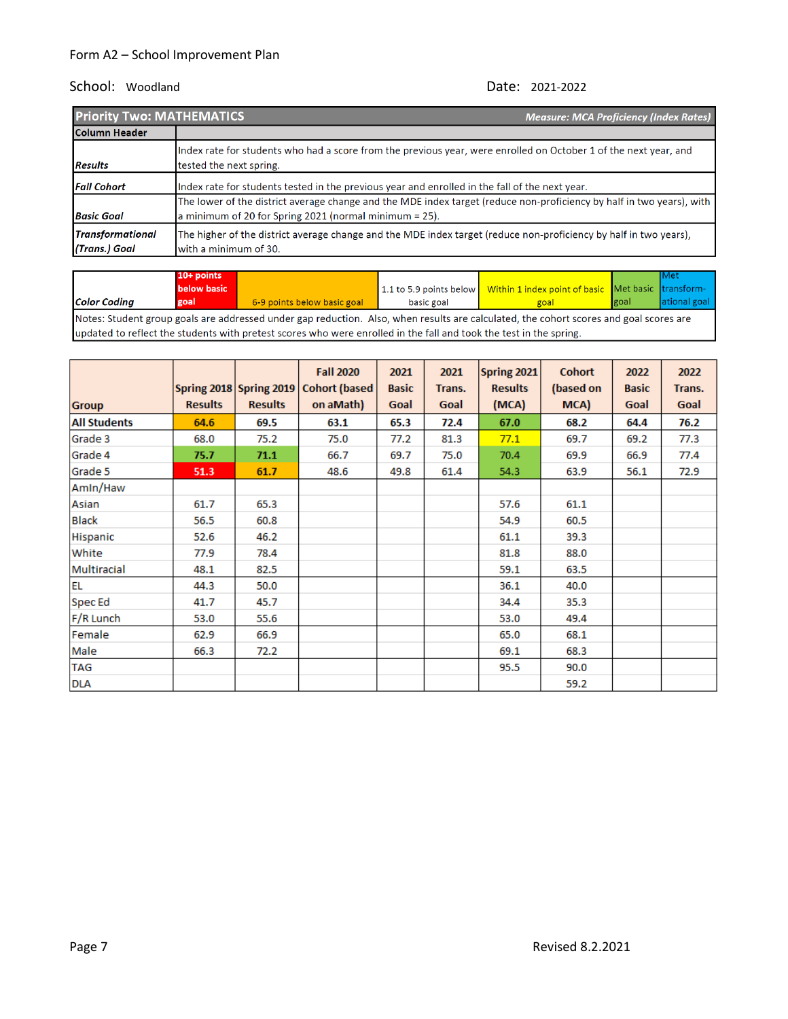| <b>Priority Two: MATHEMATICS</b>         | <b>Measure: MCA Proficiency (Index Rates)</b>                                                                                                                                   |
|------------------------------------------|---------------------------------------------------------------------------------------------------------------------------------------------------------------------------------|
| Column Header                            |                                                                                                                                                                                 |
| <b>Results</b>                           | Index rate for students who had a score from the previous year, were enrolled on October 1 of the next year, and<br>tested the next spring.                                     |
| <b>Fall Cohort</b>                       | Index rate for students tested in the previous year and enrolled in the fall of the next year.                                                                                  |
| <b>Basic Goal</b>                        | The lower of the district average change and the MDE index target (reduce non-proficiency by half in two years), with<br>a minimum of 20 for Spring 2021 (normal minimum = 25). |
| <b>Transformational</b><br>(Trans.) Goal | The higher of the district average change and the MDE index target (reduce non-proficiency by half in two years),<br>with a minimum of 30.                                      |

|                                                                                                                                        | $10+$ points |                             |            |                                                                                  |               | lMet          |
|----------------------------------------------------------------------------------------------------------------------------------------|--------------|-----------------------------|------------|----------------------------------------------------------------------------------|---------------|---------------|
|                                                                                                                                        | below basic  |                             |            | 1.1 to 5.9 points below   Within 1 index point of basic   Met basic   transform- |               |               |
| <b>Color Coding</b>                                                                                                                    | goal         | 6-9 points below basic goal | basic goal | goal                                                                             | <b>I</b> goal | lational goal |
| Notes: Student group goals are addressed under gap reduction. Also, when results are calculated, the cohort scores and goal scores are |              |                             |            |                                                                                  |               |               |

updated to reflect the students with pretest scores who were enrolled in the fall and took the test in the spring.

|                     |                | Spring 2018 Spring 2019 | <b>Fall 2020</b><br><b>Cohort (based)</b> | 2021<br><b>Basic</b> | 2021<br>Trans. | Spring 2021<br><b>Results</b> | <b>Cohort</b>     | 2022<br><b>Basic</b> | 2022<br>Trans. |
|---------------------|----------------|-------------------------|-------------------------------------------|----------------------|----------------|-------------------------------|-------------------|----------------------|----------------|
| <b>Group</b>        | <b>Results</b> | <b>Results</b>          | on aMath)                                 | Goal                 | Goal           | (MCA)                         | (based on<br>MCA) | Goal                 | Goal           |
| <b>All Students</b> | 64.6           | 69.5                    | 63.1                                      | 65.3                 | 72.4           | 67.0                          | 68.2              | 64.4                 | 76.2           |
| Grade 3             | 68.0           | 75.2                    | 75.0                                      | 77.2                 | 81.3           | 77.1                          | 69.7              | 69.2                 | 77.3           |
| Grade 4             | 75.7           | 71.1                    | 66.7                                      | 69.7                 | 75.0           | 70.4                          | 69.9              | 66.9                 | 77.4           |
| Grade 5             | 51.3           | 61.7                    | 48.6                                      | 49.8                 | 61.4           | 54.3                          | 63.9              | 56.1                 | 72.9           |
| Amin/Haw            |                |                         |                                           |                      |                |                               |                   |                      |                |
| Asian               | 61.7           | 65.3                    |                                           |                      |                | 57.6                          | 61.1              |                      |                |
| <b>Black</b>        | 56.5           | 60.8                    |                                           |                      |                | 54.9                          | 60.5              |                      |                |
| Hispanic            | 52.6           | 46.2                    |                                           |                      |                | 61.1                          | 39.3              |                      |                |
| White               | 77.9           | 78.4                    |                                           |                      |                | 81.8                          | 88.0              |                      |                |
| Multiracial         | 48.1           | 82.5                    |                                           |                      |                | 59.1                          | 63.5              |                      |                |
| EL                  | 44.3           | 50.0                    |                                           |                      |                | 36.1                          | 40.0              |                      |                |
| <b>Spec Ed</b>      | 41.7           | 45.7                    |                                           |                      |                | 34.4                          | 35.3              |                      |                |
| F/R Lunch           | 53.0           | 55.6                    |                                           |                      |                | 53.0                          | 49.4              |                      |                |
| Female              | 62.9           | 66.9                    |                                           |                      |                | 65.0                          | 68.1              |                      |                |
| Male                | 66.3           | 72.2                    |                                           |                      |                | 69.1                          | 68.3              |                      |                |
| <b>TAG</b>          |                |                         |                                           |                      |                | 95.5                          | 90.0              |                      |                |
| <b>DLA</b>          |                |                         |                                           |                      |                |                               | 59.2              |                      |                |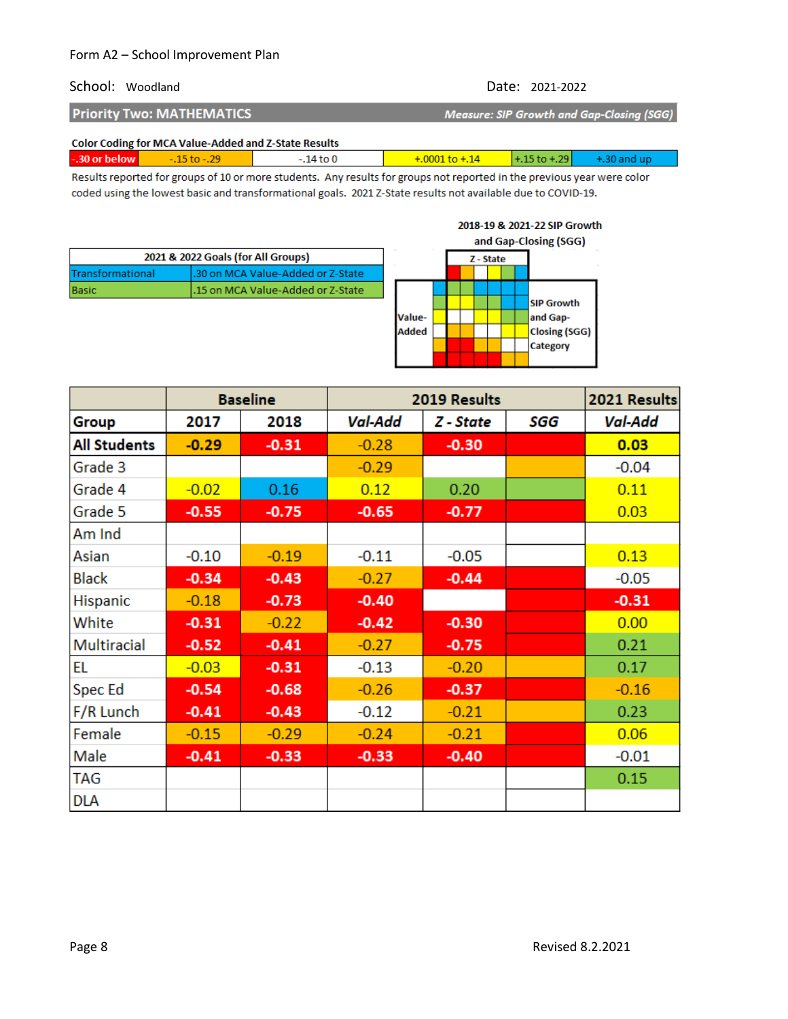### School: Woodland Date: 2021-2022

| <b>Priority Two: MATHEMATICS</b>                     | Measure: SIP Growth and Gap-Closing (SGG) |
|------------------------------------------------------|-------------------------------------------|
| Color Coding for MCA Volum Added and 7 Chats Doculty |                                           |

|                | <b>Color Coding for MCA Value-Added and Z-State Results</b> |                     |                                              |
|----------------|-------------------------------------------------------------|---------------------|----------------------------------------------|
| $-30$ or below | $-15$ to $-29$                                              | $-+.0001$ to $+.14$ | $\sqrt{+1.15 \text{ to } 0.29}$ + .30 and up |
|                |                                                             |                     |                                              |

Results reported for groups of 10 or more students. Any results for groups not reported in the previous year were color coded using the lowest basic and transformational goals. 2021 Z-State results not available due to COVID-19.

|                  |                                    |              |  |           |  | and Gap-Closing (SGG) |
|------------------|------------------------------------|--------------|--|-----------|--|-----------------------|
|                  | 2021 & 2022 Goals (for All Groups) |              |  | Z - State |  |                       |
| Transformational | .30 on MCA Value-Added or Z-State  |              |  |           |  |                       |
| Basic            | .15 on MCA Value-Added or Z-State  |              |  |           |  |                       |
|                  |                                    |              |  |           |  | <b>SIP Growth</b>     |
|                  |                                    | Value-       |  |           |  | and Gap-              |
|                  |                                    | <b>Added</b> |  |           |  | Closing (SGG)         |
|                  |                                    |              |  |           |  | Category              |
|                  |                                    |              |  |           |  |                       |

|                     |         | <b>Baseline</b> | 2019 Results |           |     | 2021 Results   |
|---------------------|---------|-----------------|--------------|-----------|-----|----------------|
| Group               | 2017    | 2018            | Val-Add      | Z - State | SGG | <b>Val-Add</b> |
| <b>All Students</b> | $-0.29$ | $-0.31$         | $-0.28$      | $-0.30$   |     | 0.03           |
| Grade 3             |         |                 | $-0.29$      |           |     | $-0.04$        |
| Grade 4             | $-0.02$ | 0.16            | 0.12         | 0.20      |     | 0.11           |
| Grade 5             | $-0.55$ | $-0.75$         | $-0.65$      | $-0.77$   |     | 0.03           |
| Am Ind              |         |                 |              |           |     |                |
| Asian               | $-0.10$ | $-0.19$         | $-0.11$      | $-0.05$   |     | 0.13           |
| <b>Black</b>        | $-0.34$ | $-0.43$         | $-0.27$      | $-0.44$   |     | $-0.05$        |
| Hispanic            | $-0.18$ | $-0.73$         | $-0.40$      |           |     | $-0.31$        |
| White               | $-0.31$ | $-0.22$         | $-0.42$      | $-0.30$   |     | 0.00           |
| <b>Multiracial</b>  | $-0.52$ | $-0.41$         | $-0.27$      | $-0.75$   |     | 0.21           |
| EL                  | $-0.03$ | $-0.31$         | $-0.13$      | $-0.20$   |     | 0.17           |
| Spec Ed             | $-0.54$ | $-0.68$         | $-0.26$      | $-0.37$   |     | $-0.16$        |
| F/R Lunch           | $-0.41$ | $-0.43$         | $-0.12$      | $-0.21$   |     | 0.23           |
| Female              | $-0.15$ | $-0.29$         | $-0.24$      | $-0.21$   |     | 0.06           |
| Male                | $-0.41$ | $-0.33$         | $-0.33$      | $-0.40$   |     | $-0.01$        |
| <b>TAG</b>          |         |                 |              |           |     | 0.15           |
| <b>DLA</b>          |         |                 |              |           |     |                |

#### 2018-19 & 2021-22 SIP Growth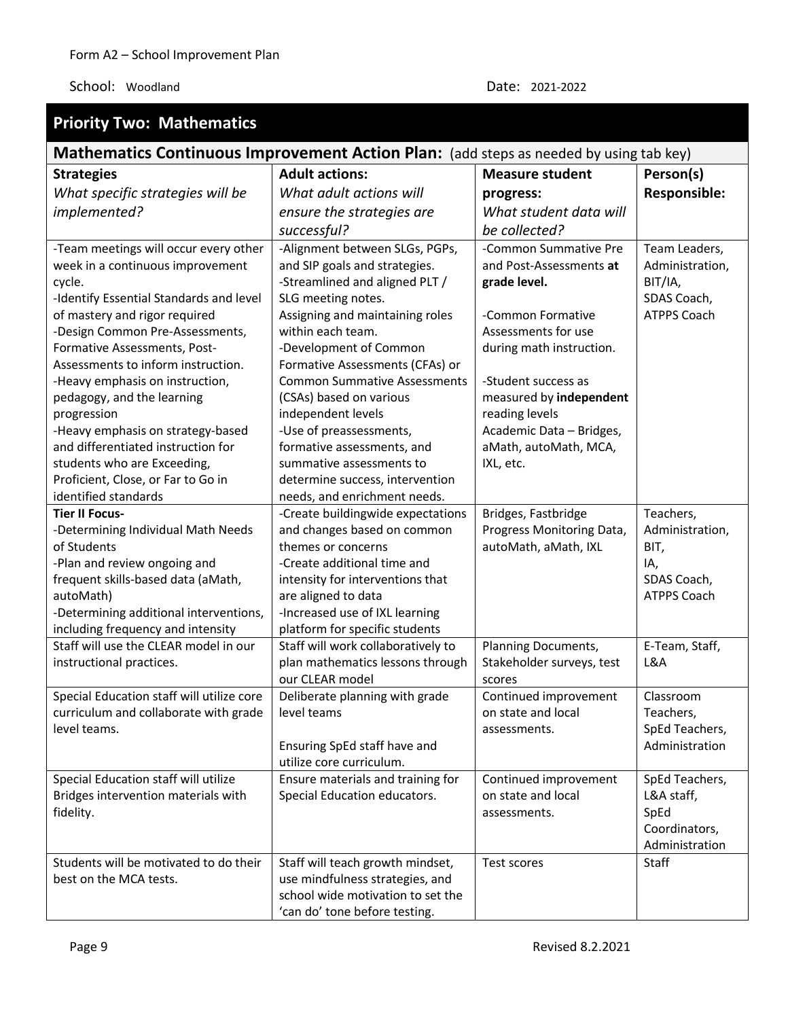| <b>Priority Two: Mathematics</b>                                                       |                                                                      |                                                   |                         |  |
|----------------------------------------------------------------------------------------|----------------------------------------------------------------------|---------------------------------------------------|-------------------------|--|
| Mathematics Continuous Improvement Action Plan: (add steps as needed by using tab key) |                                                                      |                                                   |                         |  |
| <b>Strategies</b>                                                                      | <b>Adult actions:</b>                                                | <b>Measure student</b>                            | Person(s)               |  |
| What specific strategies will be                                                       | What adult actions will                                              | progress:                                         | <b>Responsible:</b>     |  |
| implemented?                                                                           | ensure the strategies are                                            | What student data will                            |                         |  |
|                                                                                        | successful?                                                          | be collected?                                     |                         |  |
| -Team meetings will occur every other                                                  | -Alignment between SLGs, PGPs,                                       | -Common Summative Pre                             | Team Leaders,           |  |
| week in a continuous improvement                                                       | and SIP goals and strategies.                                        | and Post-Assessments at                           | Administration,         |  |
| cycle.                                                                                 | -Streamlined and aligned PLT /                                       | grade level.                                      | BIT/IA,                 |  |
| -Identify Essential Standards and level                                                | SLG meeting notes.                                                   |                                                   | SDAS Coach,             |  |
| of mastery and rigor required                                                          | Assigning and maintaining roles                                      | -Common Formative                                 | <b>ATPPS Coach</b>      |  |
| -Design Common Pre-Assessments,                                                        | within each team.                                                    | Assessments for use                               |                         |  |
| Formative Assessments, Post-                                                           | -Development of Common                                               | during math instruction.                          |                         |  |
| Assessments to inform instruction.                                                     | Formative Assessments (CFAs) or                                      |                                                   |                         |  |
| -Heavy emphasis on instruction,                                                        | <b>Common Summative Assessments</b>                                  | -Student success as                               |                         |  |
| pedagogy, and the learning                                                             | (CSAs) based on various                                              | measured by independent                           |                         |  |
| progression                                                                            | independent levels                                                   | reading levels                                    |                         |  |
| -Heavy emphasis on strategy-based                                                      | -Use of preassessments,                                              | Academic Data - Bridges,                          |                         |  |
| and differentiated instruction for                                                     | formative assessments, and                                           | aMath, autoMath, MCA,                             |                         |  |
| students who are Exceeding,                                                            | summative assessments to                                             | IXL, etc.                                         |                         |  |
| Proficient, Close, or Far to Go in                                                     | determine success, intervention                                      |                                                   |                         |  |
| identified standards                                                                   | needs, and enrichment needs.                                         |                                                   |                         |  |
| <b>Tier II Focus-</b>                                                                  | -Create buildingwide expectations                                    | Bridges, Fastbridge                               | Teachers,               |  |
| -Determining Individual Math Needs<br>of Students                                      | and changes based on common<br>themes or concerns                    | Progress Monitoring Data,<br>autoMath, aMath, IXL | Administration,<br>BIT, |  |
| -Plan and review ongoing and                                                           | -Create additional time and                                          |                                                   | IA,                     |  |
| frequent skills-based data (aMath,                                                     | intensity for interventions that                                     |                                                   | SDAS Coach,             |  |
| autoMath)                                                                              | are aligned to data                                                  |                                                   | <b>ATPPS Coach</b>      |  |
| -Determining additional interventions,                                                 | -Increased use of IXL learning                                       |                                                   |                         |  |
| including frequency and intensity                                                      | platform for specific students                                       |                                                   |                         |  |
| Staff will use the CLEAR model in our                                                  | Staff will work collaboratively to                                   | Planning Documents,                               | E-Team, Staff,          |  |
| instructional practices.                                                               | plan mathematics lessons through                                     | Stakeholder surveys, test                         | L&A                     |  |
|                                                                                        | our CLEAR model                                                      | scores                                            |                         |  |
| Special Education staff will utilize core                                              | Deliberate planning with grade                                       | Continued improvement                             | Classroom               |  |
| curriculum and collaborate with grade                                                  | level teams                                                          | on state and local                                | Teachers,               |  |
| level teams.                                                                           |                                                                      | assessments.                                      | SpEd Teachers,          |  |
|                                                                                        | Ensuring SpEd staff have and                                         |                                                   | Administration          |  |
|                                                                                        | utilize core curriculum.                                             |                                                   |                         |  |
| Special Education staff will utilize                                                   | Ensure materials and training for                                    | Continued improvement                             | SpEd Teachers,          |  |
| Bridges intervention materials with                                                    | Special Education educators.                                         | on state and local                                | L&A staff,              |  |
| fidelity.                                                                              |                                                                      | assessments.                                      | SpEd                    |  |
|                                                                                        |                                                                      |                                                   | Coordinators,           |  |
|                                                                                        |                                                                      |                                                   | Administration          |  |
| Students will be motivated to do their                                                 | Staff will teach growth mindset,                                     | Test scores                                       | Staff                   |  |
| best on the MCA tests.                                                                 | use mindfulness strategies, and<br>school wide motivation to set the |                                                   |                         |  |
|                                                                                        | 'can do' tone before testing.                                        |                                                   |                         |  |
|                                                                                        |                                                                      |                                                   |                         |  |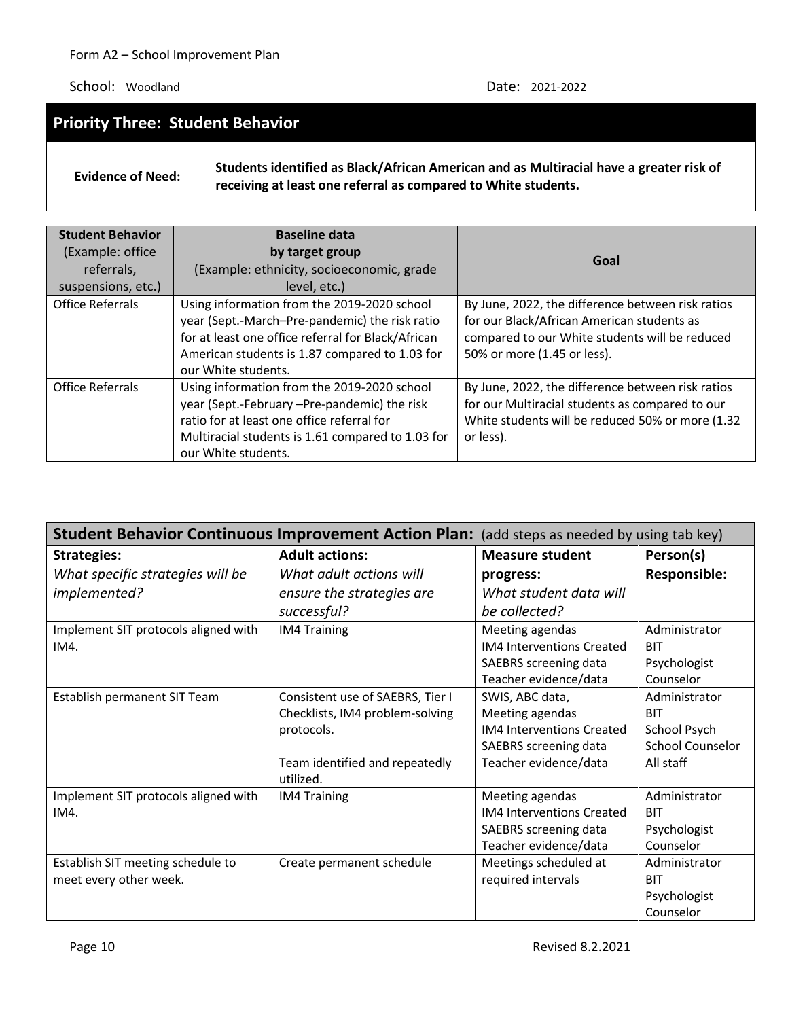| <b>Priority Three: Student Behavior</b> |                                                                                                                                                           |  |  |  |
|-----------------------------------------|-----------------------------------------------------------------------------------------------------------------------------------------------------------|--|--|--|
| <b>Evidence of Need:</b>                | Students identified as Black/African American and as Multiracial have a greater risk of<br>receiving at least one referral as compared to White students. |  |  |  |

| <b>Student Behavior</b><br>(Example: office<br>referrals,<br>suspensions, etc.) | <b>Baseline data</b><br>by target group<br>(Example: ethnicity, socioeconomic, grade<br>level, etc.)                                                                                                                         | Goal                                                                                                                                                                             |
|---------------------------------------------------------------------------------|------------------------------------------------------------------------------------------------------------------------------------------------------------------------------------------------------------------------------|----------------------------------------------------------------------------------------------------------------------------------------------------------------------------------|
| <b>Office Referrals</b>                                                         | Using information from the 2019-2020 school<br>year (Sept.-March-Pre-pandemic) the risk ratio<br>for at least one office referral for Black/African<br>American students is 1.87 compared to 1.03 for<br>our White students. | By June, 2022, the difference between risk ratios<br>for our Black/African American students as<br>compared to our White students will be reduced<br>50% or more (1.45 or less). |
| <b>Office Referrals</b>                                                         | Using information from the 2019-2020 school<br>year (Sept.-February -Pre-pandemic) the risk<br>ratio for at least one office referral for<br>Multiracial students is 1.61 compared to 1.03 for<br>our White students.        | By June, 2022, the difference between risk ratios<br>for our Multiracial students as compared to our<br>White students will be reduced 50% or more (1.32<br>or less).            |

| Student Behavior Continuous Improvement Action Plan: (add steps as needed by using tab key) |                                             |                                  |                         |  |
|---------------------------------------------------------------------------------------------|---------------------------------------------|----------------------------------|-------------------------|--|
| <b>Strategies:</b>                                                                          | <b>Adult actions:</b>                       | <b>Measure student</b>           | Person(s)               |  |
| What specific strategies will be                                                            | What adult actions will                     | progress:                        | <b>Responsible:</b>     |  |
| implemented?                                                                                | ensure the strategies are                   | What student data will           |                         |  |
|                                                                                             | successful?                                 | be collected?                    |                         |  |
| Implement SIT protocols aligned with                                                        | <b>IM4 Training</b>                         | Meeting agendas                  | Administrator           |  |
| IM4.                                                                                        |                                             | <b>IM4 Interventions Created</b> | <b>BIT</b>              |  |
|                                                                                             |                                             | SAEBRS screening data            | Psychologist            |  |
|                                                                                             |                                             | Teacher evidence/data            | Counselor               |  |
| Establish permanent SIT Team                                                                | Consistent use of SAEBRS, Tier I            | SWIS, ABC data,                  | Administrator           |  |
|                                                                                             | Checklists, IM4 problem-solving             | Meeting agendas                  | <b>BIT</b>              |  |
|                                                                                             | protocols.                                  | <b>IM4 Interventions Created</b> | School Psych            |  |
|                                                                                             |                                             | SAEBRS screening data            | <b>School Counselor</b> |  |
|                                                                                             | Team identified and repeatedly<br>utilized. | Teacher evidence/data            | All staff               |  |
|                                                                                             |                                             |                                  |                         |  |
| Implement SIT protocols aligned with                                                        | <b>IM4 Training</b>                         | Meeting agendas                  | Administrator           |  |
| IM4.                                                                                        |                                             | <b>IM4 Interventions Created</b> | <b>BIT</b>              |  |
|                                                                                             |                                             | SAEBRS screening data            | Psychologist            |  |
|                                                                                             |                                             | Teacher evidence/data            | Counselor               |  |
| Establish SIT meeting schedule to                                                           | Create permanent schedule                   | Meetings scheduled at            | Administrator           |  |
| meet every other week.                                                                      |                                             | required intervals               | <b>BIT</b>              |  |
|                                                                                             |                                             |                                  | Psychologist            |  |
|                                                                                             |                                             |                                  | Counselor               |  |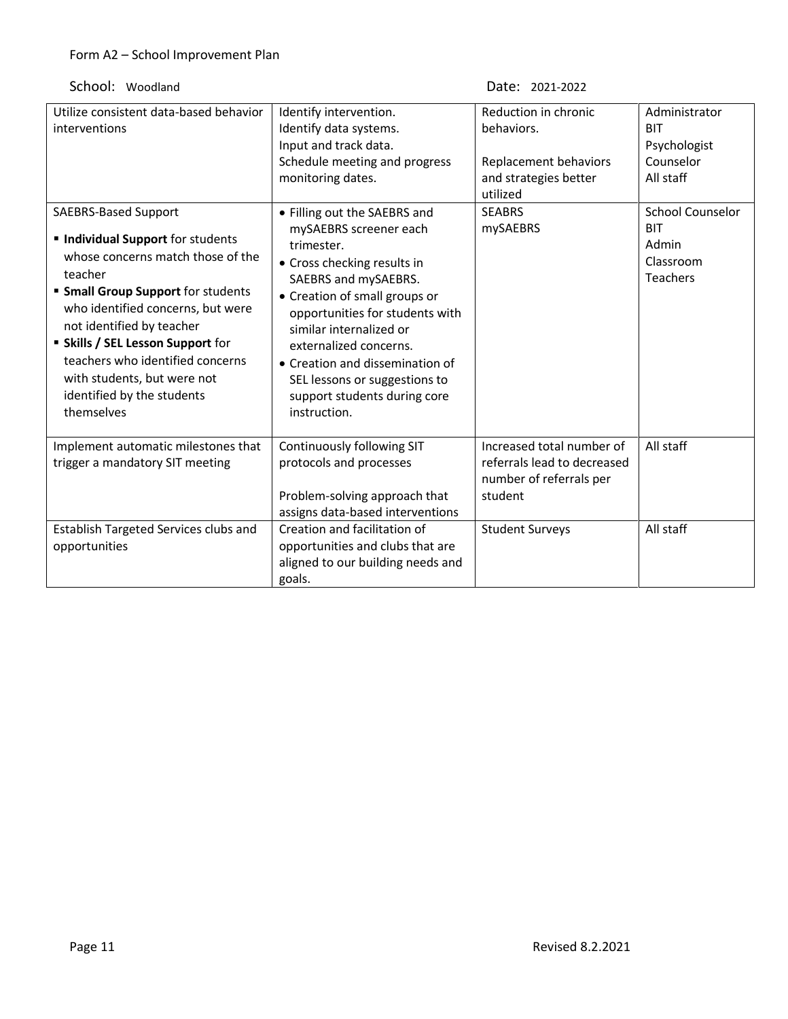| Utilize consistent data-based behavior<br>interventions<br>SAEBRS-Based Support<br><b>Individual Support</b> for students<br>whose concerns match those of the<br>teacher<br><b>Small Group Support for students</b><br>who identified concerns, but were<br>not identified by teacher<br><b>Skills / SEL Lesson Support for</b><br>teachers who identified concerns<br>with students, but were not<br>identified by the students<br>themselves | Identify intervention.<br>Identify data systems.<br>Input and track data.<br>Schedule meeting and progress<br>monitoring dates.<br>• Filling out the SAEBRS and<br>mySAEBRS screener each<br>trimester.<br>• Cross checking results in<br>SAEBRS and mySAEBRS.<br>• Creation of small groups or<br>opportunities for students with<br>similar internalized or<br>externalized concerns.<br>• Creation and dissemination of<br>SEL lessons or suggestions to<br>support students during core<br>instruction. | Reduction in chronic<br>behaviors.<br>Replacement behaviors<br>and strategies better<br>utilized<br><b>SEABRS</b><br>mySAEBRS | Administrator<br><b>BIT</b><br>Psychologist<br>Counselor<br>All staff<br><b>School Counselor</b><br><b>BIT</b><br>Admin<br>Classroom<br><b>Teachers</b> |
|-------------------------------------------------------------------------------------------------------------------------------------------------------------------------------------------------------------------------------------------------------------------------------------------------------------------------------------------------------------------------------------------------------------------------------------------------|-------------------------------------------------------------------------------------------------------------------------------------------------------------------------------------------------------------------------------------------------------------------------------------------------------------------------------------------------------------------------------------------------------------------------------------------------------------------------------------------------------------|-------------------------------------------------------------------------------------------------------------------------------|---------------------------------------------------------------------------------------------------------------------------------------------------------|
| Implement automatic milestones that<br>trigger a mandatory SIT meeting                                                                                                                                                                                                                                                                                                                                                                          | Continuously following SIT<br>protocols and processes<br>Problem-solving approach that<br>assigns data-based interventions                                                                                                                                                                                                                                                                                                                                                                                  | Increased total number of<br>referrals lead to decreased<br>number of referrals per<br>student                                | All staff                                                                                                                                               |
| Establish Targeted Services clubs and<br>opportunities                                                                                                                                                                                                                                                                                                                                                                                          | Creation and facilitation of<br>opportunities and clubs that are<br>aligned to our building needs and<br>goals.                                                                                                                                                                                                                                                                                                                                                                                             | <b>Student Surveys</b>                                                                                                        | All staff                                                                                                                                               |